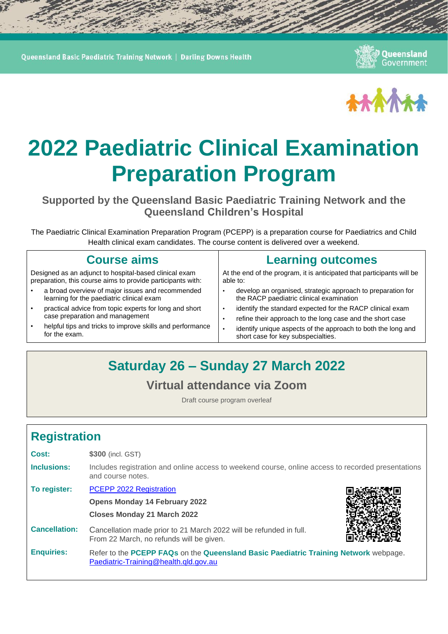Queensland Basic Paediatric Training Network | Darling Downs Health

Queensland Government



# **2022 Paediatric Clinical Examination Preparation Program**

**Supported by the Queensland Basic Paediatric Training Network and the Queensland Children's Hospital**

The Paediatric Clinical Examination Preparation Program (PCEPP) is a preparation course for Paediatrics and Child Health clinical exam candidates. The course content is delivered over a weekend.

| <b>Course aims</b>                                                                                                    | <b>Learning outcomes</b>                                                                                               |
|-----------------------------------------------------------------------------------------------------------------------|------------------------------------------------------------------------------------------------------------------------|
| Designed as an adjunct to hospital-based clinical exam<br>preparation, this course aims to provide participants with: | At the end of the program, it is anticipated that participants will be<br>able to:                                     |
| a broad overview of major issues and recommended<br>learning for the paediatric clinical exam                         | develop an organised, strategic approach to preparation for<br>the RACP paediatric clinical examination                |
| practical advice from topic experts for long and short<br>$\bullet$<br>case preparation and management                | identify the standard expected for the RACP clinical exam<br>refine their approach to the long case and the short case |
| helpful tips and tricks to improve skills and performance<br>$\bullet$<br>for the exam.                               | identify unique aspects of the approach to both the long and<br>short case for key subspecialties.                     |
|                                                                                                                       |                                                                                                                        |
|                                                                                                                       |                                                                                                                        |

## **Saturday 26 – Sunday 27 March 2022**

#### **Virtual attendance via Zoom**

Draft course program overleaf

## **Registration**

| Cost:                | \$300 (incl. GST)                                                                                                             |  |
|----------------------|-------------------------------------------------------------------------------------------------------------------------------|--|
| Inclusions:          | Includes registration and online access to weekend course, online access to recorded presentations<br>and course notes.       |  |
| To register:         | PCEPP 2022 Registration                                                                                                       |  |
|                      | <b>Opens Monday 14 February 2022</b>                                                                                          |  |
|                      | <b>Closes Monday 21 March 2022</b>                                                                                            |  |
| <b>Cancellation:</b> | Cancellation made prior to 21 March 2022 will be refunded in full.<br>From 22 March, no refunds will be given.                |  |
| <b>Enquiries:</b>    | Refer to the PCEPP FAQs on the Queensland Basic Paediatric Training Network webpage.<br>Paediatric-Training@health.qld.gov.au |  |
|                      |                                                                                                                               |  |